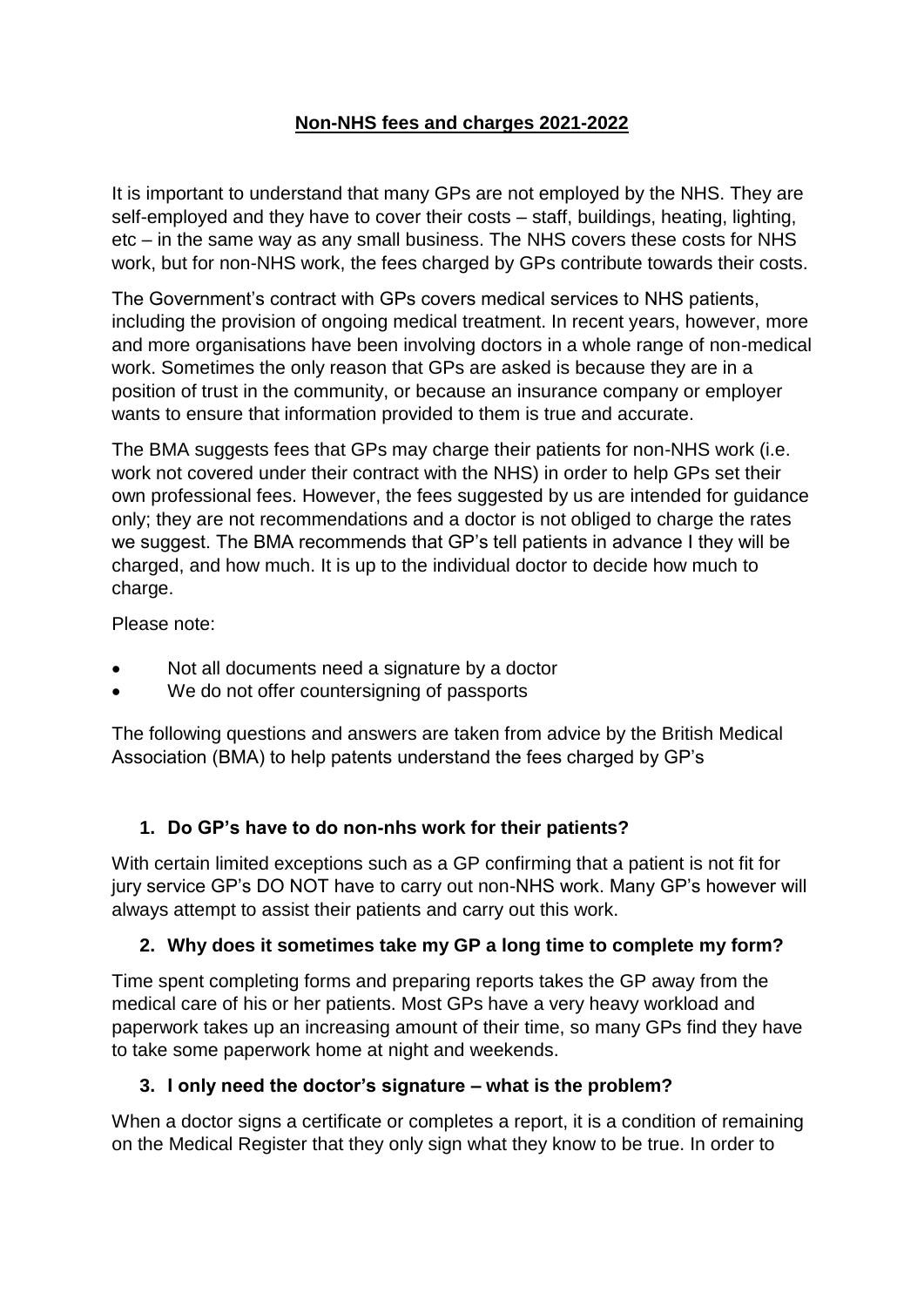## **Non-NHS fees and charges 2021-2022**

It is important to understand that many GPs are not employed by the NHS. They are self-employed and they have to cover their costs – staff, buildings, heating, lighting, etc – in the same way as any small business. The NHS covers these costs for NHS work, but for non-NHS work, the fees charged by GPs contribute towards their costs.

The Government's contract with GPs covers medical services to NHS patients, including the provision of ongoing medical treatment. In recent years, however, more and more organisations have been involving doctors in a whole range of non-medical work. Sometimes the only reason that GPs are asked is because they are in a position of trust in the community, or because an insurance company or employer wants to ensure that information provided to them is true and accurate.

The BMA suggests fees that GPs may charge their patients for non-NHS work (i.e. work not covered under their contract with the NHS) in order to help GPs set their own professional fees. However, the fees suggested by us are intended for guidance only; they are not recommendations and a doctor is not obliged to charge the rates we suggest. The BMA recommends that GP's tell patients in advance I they will be charged, and how much. It is up to the individual doctor to decide how much to charge.

Please note:

- Not all documents need a signature by a doctor
- We do not offer countersigning of passports

The following questions and answers are taken from advice by the British Medical Association (BMA) to help patents understand the fees charged by GP's

### **1. Do GP's have to do non-nhs work for their patients?**

With certain limited exceptions such as a GP confirming that a patient is not fit for jury service GP's DO NOT have to carry out non-NHS work. Many GP's however will always attempt to assist their patients and carry out this work.

### **2. Why does it sometimes take my GP a long time to complete my form?**

Time spent completing forms and preparing reports takes the GP away from the medical care of his or her patients. Most GPs have a very heavy workload and paperwork takes up an increasing amount of their time, so many GPs find they have to take some paperwork home at night and weekends.

### **3. I only need the doctor's signature – what is the problem?**

When a doctor signs a certificate or completes a report, it is a condition of remaining on the Medical Register that they only sign what they know to be true. In order to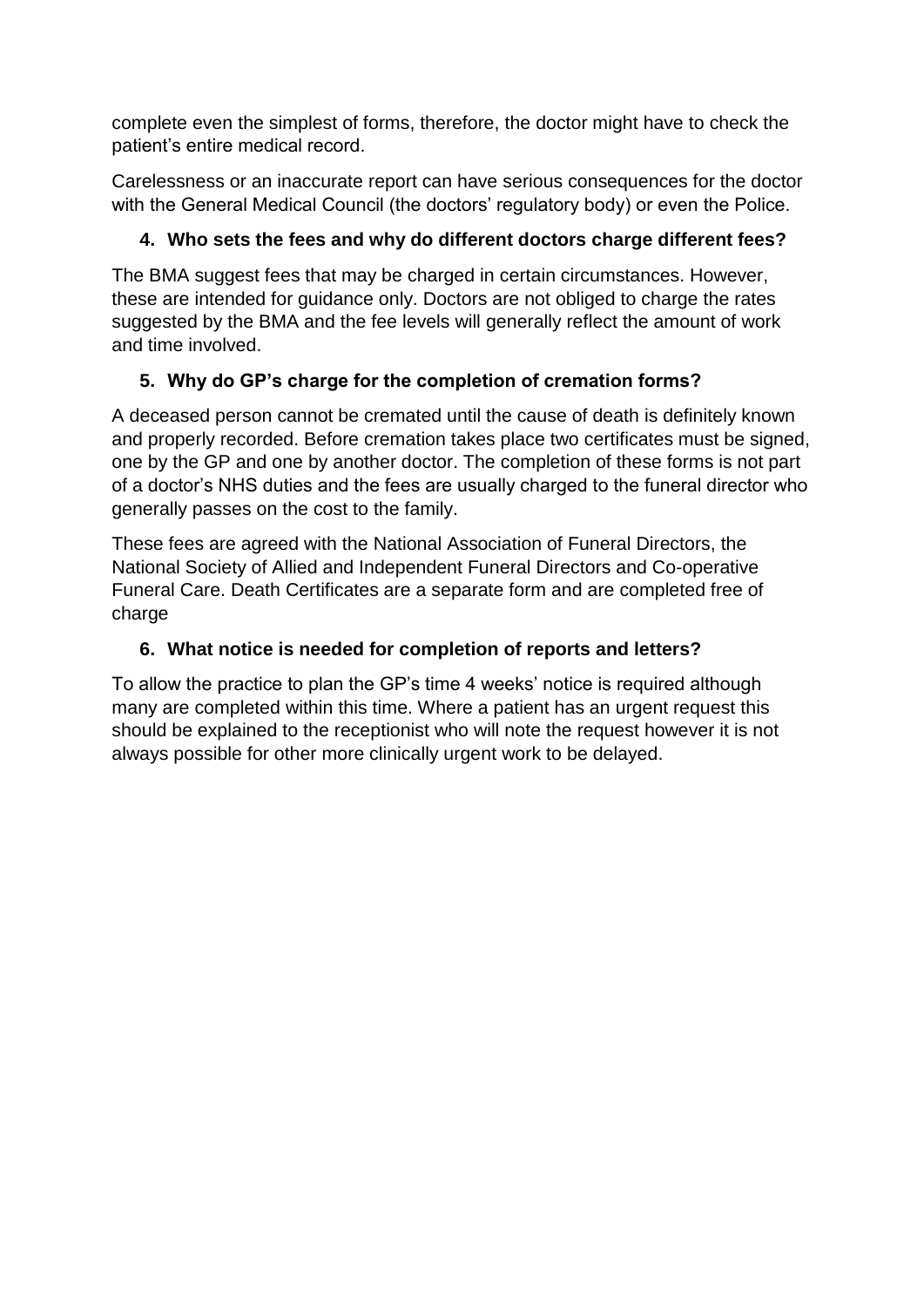complete even the simplest of forms, therefore, the doctor might have to check the patient's entire medical record.

Carelessness or an inaccurate report can have serious consequences for the doctor with the General Medical Council (the doctors' regulatory body) or even the Police.

# **4. Who sets the fees and why do different doctors charge different fees?**

The BMA suggest fees that may be charged in certain circumstances. However, these are intended for guidance only. Doctors are not obliged to charge the rates suggested by the BMA and the fee levels will generally reflect the amount of work and time involved.

# **5. Why do GP's charge for the completion of cremation forms?**

A deceased person cannot be cremated until the cause of death is definitely known and properly recorded. Before cremation takes place two certificates must be signed, one by the GP and one by another doctor. The completion of these forms is not part of a doctor's NHS duties and the fees are usually charged to the funeral director who generally passes on the cost to the family.

These fees are agreed with the National Association of Funeral Directors, the National Society of Allied and Independent Funeral Directors and Co-operative Funeral Care. Death Certificates are a separate form and are completed free of charge

## **6. What notice is needed for completion of reports and letters?**

To allow the practice to plan the GP's time 4 weeks' notice is required although many are completed within this time. Where a patient has an urgent request this should be explained to the receptionist who will note the request however it is not always possible for other more clinically urgent work to be delayed.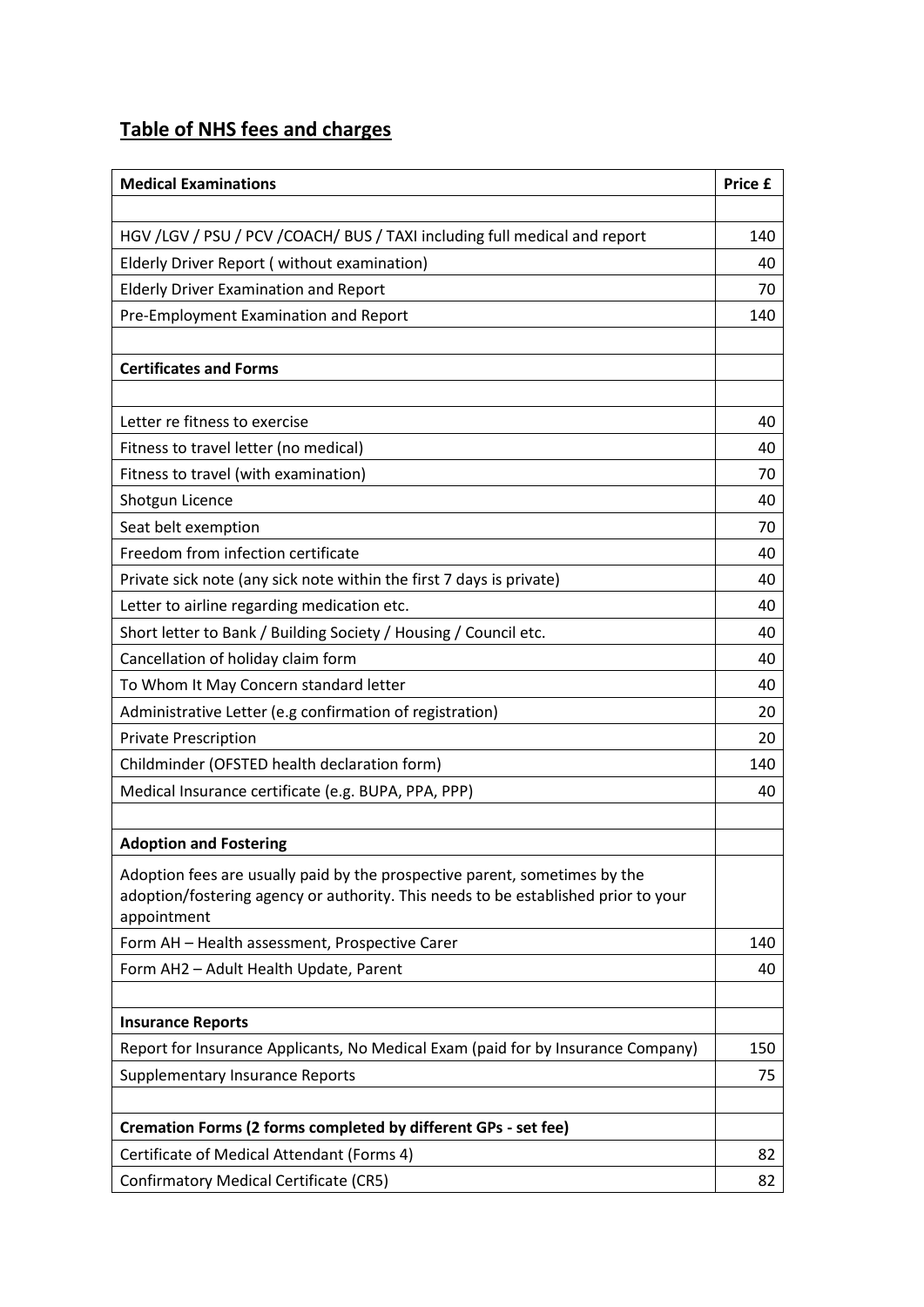# **Table of NHS fees and charges**

| <b>Medical Examinations</b>                                                        | Price £ |
|------------------------------------------------------------------------------------|---------|
|                                                                                    |         |
| HGV /LGV / PSU / PCV / COACH / BUS / TAXI including full medical and report        | 140     |
| Elderly Driver Report (without examination)                                        | 40      |
| <b>Elderly Driver Examination and Report</b>                                       | 70      |
| Pre-Employment Examination and Report                                              | 140     |
|                                                                                    |         |
| <b>Certificates and Forms</b>                                                      |         |
|                                                                                    |         |
| Letter re fitness to exercise                                                      | 40      |
| Fitness to travel letter (no medical)                                              | 40      |
| Fitness to travel (with examination)                                               | 70      |
| Shotgun Licence                                                                    | 40      |
| Seat belt exemption                                                                | 70      |
| Freedom from infection certificate                                                 | 40      |
| Private sick note (any sick note within the first 7 days is private)               | 40      |
| Letter to airline regarding medication etc.                                        | 40      |
| Short letter to Bank / Building Society / Housing / Council etc.                   | 40      |
| Cancellation of holiday claim form                                                 | 40      |
| To Whom It May Concern standard letter                                             | 40      |
| Administrative Letter (e.g confirmation of registration)                           | 20      |
| <b>Private Prescription</b>                                                        | 20      |
| Childminder (OFSTED health declaration form)                                       | 140     |
| Medical Insurance certificate (e.g. BUPA, PPA, PPP)                                | 40      |
|                                                                                    |         |
| <b>Adoption and Fostering</b>                                                      |         |
| Adoption fees are usually paid by the prospective parent, sometimes by the         |         |
| adoption/fostering agency or authority. This needs to be established prior to your |         |
| appointment                                                                        |         |
| Form AH - Health assessment, Prospective Carer                                     | 140     |
| Form AH2 - Adult Health Update, Parent                                             | 40      |
|                                                                                    |         |
| <b>Insurance Reports</b>                                                           |         |
| Report for Insurance Applicants, No Medical Exam (paid for by Insurance Company)   | 150     |
| Supplementary Insurance Reports                                                    | 75      |
|                                                                                    |         |
| Cremation Forms (2 forms completed by different GPs - set fee)                     |         |
| Certificate of Medical Attendant (Forms 4)                                         | 82      |
| <b>Confirmatory Medical Certificate (CR5)</b>                                      | 82      |